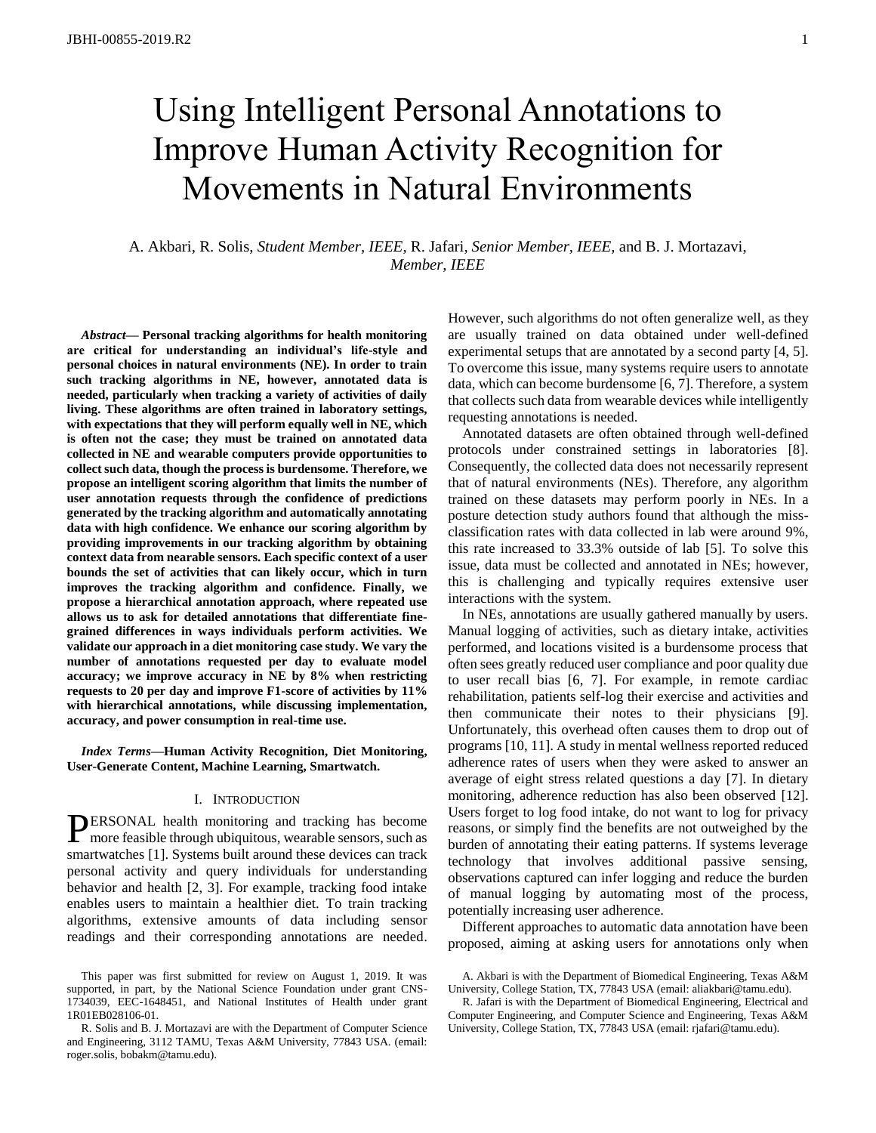# Using Intelligent Personal Annotations to Improve Human Activity Recognition for Movements in Natural Environments

A. Akbari, R. Solis, *Student Member, IEEE*, R. Jafari, *Senior Member, IEEE,* and B. J. Mortazavi, *Member, IEEE*

*Abstract***— Personal tracking algorithms for health monitoring are critical for understanding an individual's life-style and personal choices in natural environments (NE). In order to train such tracking algorithms in NE, however, annotated data is needed, particularly when tracking a variety of activities of daily living. These algorithms are often trained in laboratory settings, with expectations that they will perform equally well in NE, which is often not the case; they must be trained on annotated data collected in NE and wearable computers provide opportunities to collect such data, though the process is burdensome. Therefore, we propose an intelligent scoring algorithm that limits the number of user annotation requests through the confidence of predictions generated by the tracking algorithm and automatically annotating data with high confidence. We enhance our scoring algorithm by providing improvements in our tracking algorithm by obtaining context data from nearable sensors. Each specific context of a user bounds the set of activities that can likely occur, which in turn improves the tracking algorithm and confidence. Finally, we propose a hierarchical annotation approach, where repeated use allows us to ask for detailed annotations that differentiate finegrained differences in ways individuals perform activities. We validate our approach in a diet monitoring case study. We vary the number of annotations requested per day to evaluate model accuracy; we improve accuracy in NE by 8% when restricting requests to 20 per day and improve F1-score of activities by 11% with hierarchical annotations, while discussing implementation, accuracy, and power consumption in real-time use.**

*Index Terms***—Human Activity Recognition, Diet Monitoring, User-Generate Content, Machine Learning, Smartwatch.**

# I. INTRODUCTION

ERSONAL health monitoring and tracking has become **PERSONAL** health monitoring and tracking has become more feasible through ubiquitous, wearable sensors, such as smartwatches [1]. Systems built around these devices can track personal activity and query individuals for understanding behavior and health [2, 3]. For example, tracking food intake enables users to maintain a healthier diet. To train tracking algorithms, extensive amounts of data including sensor readings and their corresponding annotations are needed.

However, such algorithms do not often generalize well, as they are usually trained on data obtained under well-defined experimental setups that are annotated by a second party [4, 5]. To overcome this issue, many systems require users to annotate data, which can become burdensome [6, 7]. Therefore, a system that collects such data from wearable devices while intelligently requesting annotations is needed.

Annotated datasets are often obtained through well-defined protocols under constrained settings in laboratories [8]. Consequently, the collected data does not necessarily represent that of natural environments (NEs). Therefore, any algorithm trained on these datasets may perform poorly in NEs. In a posture detection study authors found that although the missclassification rates with data collected in lab were around 9%, this rate increased to 33.3% outside of lab [5]. To solve this issue, data must be collected and annotated in NEs; however, this is challenging and typically requires extensive user interactions with the system.

In NEs, annotations are usually gathered manually by users. Manual logging of activities, such as dietary intake, activities performed, and locations visited is a burdensome process that often sees greatly reduced user compliance and poor quality due to user recall bias [6, 7]. For example, in remote cardiac rehabilitation, patients self-log their exercise and activities and then communicate their notes to their physicians [9]. Unfortunately, this overhead often causes them to drop out of programs [10, 11]. A study in mental wellness reported reduced adherence rates of users when they were asked to answer an average of eight stress related questions a day [7]. In dietary monitoring, adherence reduction has also been observed [12]. Users forget to log food intake, do not want to log for privacy reasons, or simply find the benefits are not outweighed by the burden of annotating their eating patterns. If systems leverage technology that involves additional passive sensing, observations captured can infer logging and reduce the burden of manual logging by automating most of the process, potentially increasing user adherence.

Different approaches to automatic data annotation have been proposed, aiming at asking users for annotations only when

This paper was first submitted for review on August 1, 2019. It was supported, in part, by the National Science Foundation under grant CNS-1734039, EEC-1648451, and National Institutes of Health under grant 1R01EB028106-01.

R. Solis and B. J. Mortazavi are with the Department of Computer Science and Engineering, 3112 TAMU, Texas A&M University, 77843 USA. (email: roger.solis, bobakm@tamu.edu).

A. Akbari is with the Department of Biomedical Engineering, Texas A&M University, College Station, TX, 77843 USA (email: aliakbari@tamu.edu).

R. Jafari is with the Department of Biomedical Engineering, Electrical and Computer Engineering, and Computer Science and Engineering, Texas A&M University, College Station, TX, 77843 USA (email: rjafari@tamu.edu).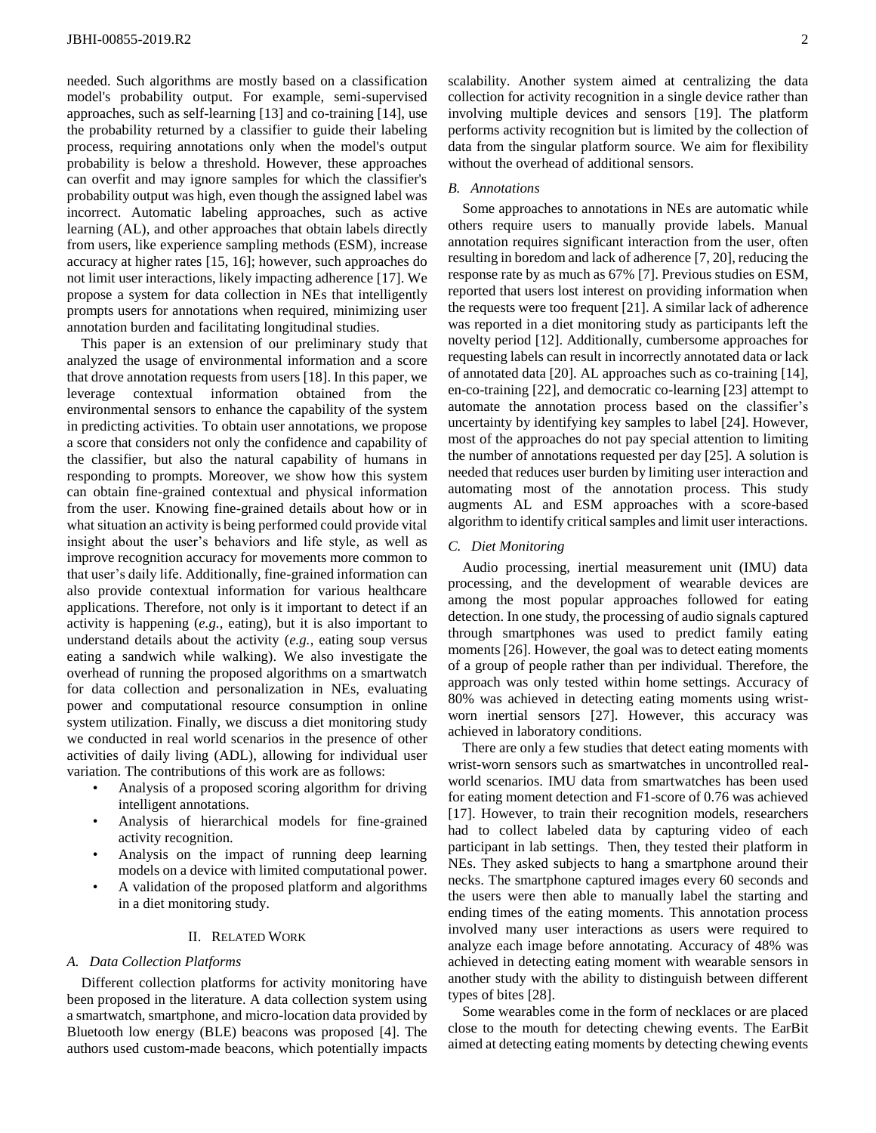needed. Such algorithms are mostly based on a classification model's probability output. For example, semi-supervised approaches, such as self-learning [13] and co-training [14], use the probability returned by a classifier to guide their labeling process, requiring annotations only when the model's output probability is below a threshold. However, these approaches can overfit and may ignore samples for which the classifier's probability output was high, even though the assigned label was incorrect. Automatic labeling approaches, such as active learning (AL), and other approaches that obtain labels directly from users, like experience sampling methods (ESM), increase accuracy at higher rates [15, 16]; however, such approaches do not limit user interactions, likely impacting adherence [17]. We propose a system for data collection in NEs that intelligently prompts users for annotations when required, minimizing user annotation burden and facilitating longitudinal studies.

This paper is an extension of our preliminary study that analyzed the usage of environmental information and a score that drove annotation requests from users [18]. In this paper, we leverage contextual information obtained from the environmental sensors to enhance the capability of the system in predicting activities. To obtain user annotations, we propose a score that considers not only the confidence and capability of the classifier, but also the natural capability of humans in responding to prompts. Moreover, we show how this system can obtain fine-grained contextual and physical information from the user. Knowing fine-grained details about how or in what situation an activity is being performed could provide vital insight about the user's behaviors and life style, as well as improve recognition accuracy for movements more common to that user's daily life. Additionally, fine-grained information can also provide contextual information for various healthcare applications. Therefore, not only is it important to detect if an activity is happening (*e.g.*, eating), but it is also important to understand details about the activity (*e.g.*, eating soup versus eating a sandwich while walking). We also investigate the overhead of running the proposed algorithms on a smartwatch for data collection and personalization in NEs, evaluating power and computational resource consumption in online system utilization. Finally, we discuss a diet monitoring study we conducted in real world scenarios in the presence of other activities of daily living (ADL), allowing for individual user variation. The contributions of this work are as follows:

- Analysis of a proposed scoring algorithm for driving intelligent annotations.
- Analysis of hierarchical models for fine-grained activity recognition.
- Analysis on the impact of running deep learning models on a device with limited computational power.
- A validation of the proposed platform and algorithms in a diet monitoring study.

# II. RELATED WORK

### *A. Data Collection Platforms*

Different collection platforms for activity monitoring have been proposed in the literature. A data collection system using a smartwatch, smartphone, and micro-location data provided by Bluetooth low energy (BLE) beacons was proposed [4]. The authors used custom-made beacons, which potentially impacts

# *B. Annotations*

Some approaches to annotations in NEs are automatic while others require users to manually provide labels. Manual annotation requires significant interaction from the user, often resulting in boredom and lack of adherence [7, 20], reducing the response rate by as much as 67% [7]. Previous studies on ESM, reported that users lost interest on providing information when the requests were too frequent [21]. A similar lack of adherence was reported in a diet monitoring study as participants left the novelty period [12]. Additionally, cumbersome approaches for requesting labels can result in incorrectly annotated data or lack of annotated data [20]. AL approaches such as co-training [14], en-co-training [22], and democratic co-learning [23] attempt to automate the annotation process based on the classifier's uncertainty by identifying key samples to label [24]. However, most of the approaches do not pay special attention to limiting the number of annotations requested per day [25]. A solution is needed that reduces user burden by limiting user interaction and automating most of the annotation process. This study augments AL and ESM approaches with a score-based algorithm to identify critical samples and limit user interactions.

#### *C. Diet Monitoring*

Audio processing, inertial measurement unit (IMU) data processing, and the development of wearable devices are among the most popular approaches followed for eating detection. In one study, the processing of audio signals captured through smartphones was used to predict family eating moments [26]. However, the goal was to detect eating moments of a group of people rather than per individual. Therefore, the approach was only tested within home settings. Accuracy of 80% was achieved in detecting eating moments using wristworn inertial sensors [27]. However, this accuracy was achieved in laboratory conditions.

There are only a few studies that detect eating moments with wrist-worn sensors such as smartwatches in uncontrolled realworld scenarios. IMU data from smartwatches has been used for eating moment detection and F1-score of 0.76 was achieved [17]. However, to train their recognition models, researchers had to collect labeled data by capturing video of each participant in lab settings. Then, they tested their platform in NEs. They asked subjects to hang a smartphone around their necks. The smartphone captured images every 60 seconds and the users were then able to manually label the starting and ending times of the eating moments. This annotation process involved many user interactions as users were required to analyze each image before annotating. Accuracy of 48% was achieved in detecting eating moment with wearable sensors in another study with the ability to distinguish between different types of bites [28].

Some wearables come in the form of necklaces or are placed close to the mouth for detecting chewing events. The EarBit aimed at detecting eating moments by detecting chewing events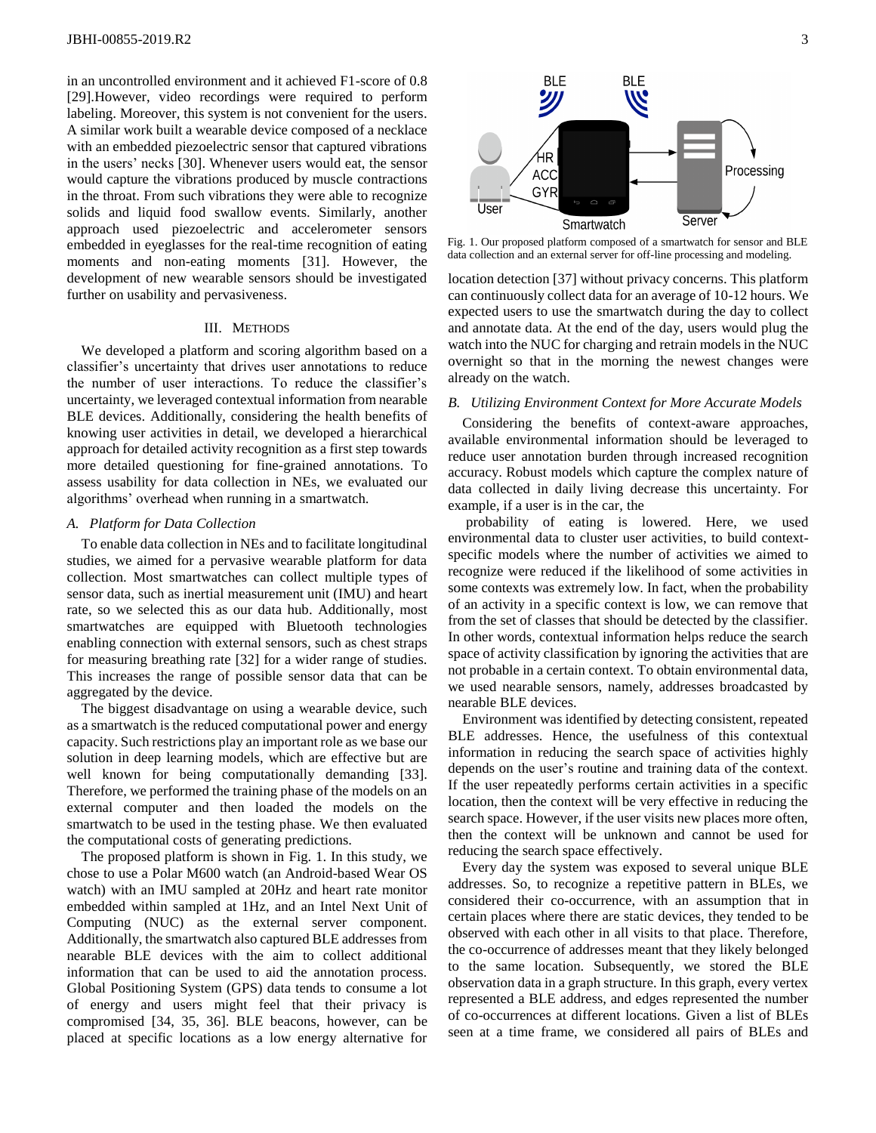in an uncontrolled environment and it achieved F1-score of 0.8 [29].However, video recordings were required to perform labeling. Moreover, this system is not convenient for the users. A similar work built a wearable device composed of a necklace with an embedded piezoelectric sensor that captured vibrations in the users' necks [30]. Whenever users would eat, the sensor would capture the vibrations produced by muscle contractions in the throat. From such vibrations they were able to recognize solids and liquid food swallow events. Similarly, another approach used piezoelectric and accelerometer sensors embedded in eyeglasses for the real-time recognition of eating moments and non-eating moments [31]. However, the development of new wearable sensors should be investigated further on usability and pervasiveness.

### III. METHODS

We developed a platform and scoring algorithm based on a classifier's uncertainty that drives user annotations to reduce the number of user interactions. To reduce the classifier's uncertainty, we leveraged contextual information from nearable BLE devices. Additionally, considering the health benefits of knowing user activities in detail, we developed a hierarchical approach for detailed activity recognition as a first step towards more detailed questioning for fine-grained annotations. To assess usability for data collection in NEs, we evaluated our algorithms' overhead when running in a smartwatch.

#### *A. Platform for Data Collection*

To enable data collection in NEs and to facilitate longitudinal studies, we aimed for a pervasive wearable platform for data collection. Most smartwatches can collect multiple types of sensor data, such as inertial measurement unit (IMU) and heart rate, so we selected this as our data hub. Additionally, most smartwatches are equipped with Bluetooth technologies enabling connection with external sensors, such as chest straps for measuring breathing rate [32] for a wider range of studies. This increases the range of possible sensor data that can be aggregated by the device.

The biggest disadvantage on using a wearable device, such as a smartwatch is the reduced computational power and energy capacity. Such restrictions play an important role as we base our solution in deep learning models, which are effective but are well known for being computationally demanding [33]. Therefore, we performed the training phase of the models on an external computer and then loaded the models on the smartwatch to be used in the testing phase. We then evaluated the computational costs of generating predictions.

The proposed platform is shown in [Fig. 1.](#page-2-0) In this study, we chose to use a Polar M600 watch (an Android-based Wear OS watch) with an IMU sampled at 20Hz and heart rate monitor embedded within sampled at 1Hz, and an Intel Next Unit of Computing (NUC) as the external server component. Additionally, the smartwatch also captured BLE addresses from nearable BLE devices with the aim to collect additional information that can be used to aid the annotation process. Global Positioning System (GPS) data tends to consume a lot of energy and users might feel that their privacy is compromised [34, 35, 36]. BLE beacons, however, can be placed at specific locations as a low energy alternative for



<span id="page-2-0"></span>Fig. 1. Our proposed platform composed of a smartwatch for sensor and BLE data collection and an external server for off-line processing and modeling.

location detection [37] without privacy concerns. This platform can continuously collect data for an average of 10-12 hours. We expected users to use the smartwatch during the day to collect and annotate data. At the end of the day, users would plug the watch into the NUC for charging and retrain models in the NUC overnight so that in the morning the newest changes were already on the watch.

#### *B. Utilizing Environment Context for More Accurate Models*

Considering the benefits of context-aware approaches, available environmental information should be leveraged to reduce user annotation burden through increased recognition accuracy. Robust models which capture the complex nature of data collected in daily living decrease this uncertainty. For example, if a user is in the car, the

probability of eating is lowered. Here, we used environmental data to cluster user activities, to build contextspecific models where the number of activities we aimed to recognize were reduced if the likelihood of some activities in some contexts was extremely low. In fact, when the probability of an activity in a specific context is low, we can remove that from the set of classes that should be detected by the classifier. In other words, contextual information helps reduce the search space of activity classification by ignoring the activities that are not probable in a certain context. To obtain environmental data, we used nearable sensors, namely, addresses broadcasted by nearable BLE devices.

Environment was identified by detecting consistent, repeated BLE addresses. Hence, the usefulness of this contextual information in reducing the search space of activities highly depends on the user's routine and training data of the context. If the user repeatedly performs certain activities in a specific location, then the context will be very effective in reducing the search space. However, if the user visits new places more often, then the context will be unknown and cannot be used for reducing the search space effectively.

Every day the system was exposed to several unique BLE addresses. So, to recognize a repetitive pattern in BLEs, we considered their co-occurrence, with an assumption that in certain places where there are static devices, they tended to be observed with each other in all visits to that place. Therefore, the co-occurrence of addresses meant that they likely belonged to the same location. Subsequently, we stored the BLE observation data in a graph structure. In this graph, every vertex represented a BLE address, and edges represented the number of co-occurrences at different locations. Given a list of BLEs seen at a time frame, we considered all pairs of BLEs and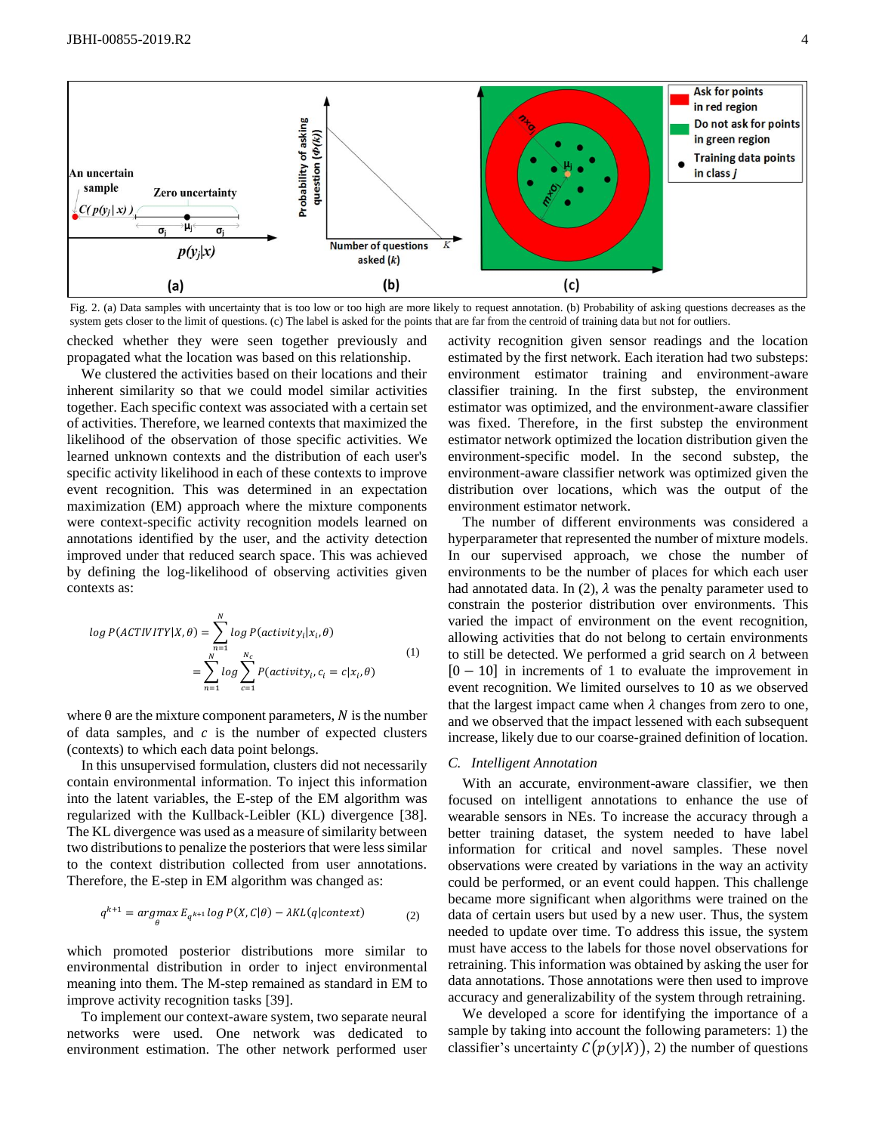

<span id="page-3-0"></span>Fig. 2. (a) Data samples with uncertainty that is too low or too high are more likely to request annotation. (b) Probability of asking questions decreases as the system gets closer to the limit of questions. (c) The label is asked for the points that are far from the centroid of training data but not for outliers.

checked whether they were seen together previously and propagated what the location was based on this relationship.

We clustered the activities based on their locations and their inherent similarity so that we could model similar activities together. Each specific context was associated with a certain set of activities. Therefore, we learned contexts that maximized the likelihood of the observation of those specific activities. We learned unknown contexts and the distribution of each user's specific activity likelihood in each of these contexts to improve event recognition. This was determined in an expectation maximization (EM) approach where the mixture components were context-specific activity recognition models learned on annotations identified by the user, and the activity detection improved under that reduced search space. This was achieved by defining the log-likelihood of observing activities given contexts as:

$$
log P(ACTIVITY|X, \theta) = \sum_{n=1}^{N} log P(activity_i|x_i, \theta)
$$
  
= 
$$
\sum_{n=1}^{N} log \sum_{c=1}^{N_c} P(activity_i, c_i = c|x_i, \theta)
$$
 (1)

where  $\theta$  are the mixture component parameters, N is the number of data samples, and  $c$  is the number of expected clusters (contexts) to which each data point belongs.

In this unsupervised formulation, clusters did not necessarily contain environmental information. To inject this information into the latent variables, the E-step of the EM algorithm was regularized with the Kullback-Leibler (KL) divergence [38]. The KL divergence was used as a measure of similarity between two distributions to penalize the posteriors that were less similar to the context distribution collected from user annotations. Therefore, the E-step in EM algorithm was changed as:

$$
q^{k+1} = \underset{\theta}{\operatorname{argmax}} \, E_{q^{k+1}} \log P(X, C | \theta) - \lambda KL(q | \text{context}) \tag{2}
$$

which promoted posterior distributions more similar to environmental distribution in order to inject environmental meaning into them. The M-step remained as standard in EM to improve activity recognition tasks [39].

To implement our context-aware system, two separate neural networks were used. One network was dedicated to environment estimation. The other network performed user

activity recognition given sensor readings and the location estimated by the first network. Each iteration had two substeps: environment estimator training and environment-aware classifier training. In the first substep, the environment estimator was optimized, and the environment-aware classifier was fixed. Therefore, in the first substep the environment estimator network optimized the location distribution given the environment-specific model. In the second substep, the environment-aware classifier network was optimized given the distribution over locations, which was the output of the environment estimator network.

The number of different environments was considered a hyperparameter that represented the number of mixture models. In our supervised approach, we chose the number of environments to be the number of places for which each user had annotated data. In (2),  $\lambda$  was the penalty parameter used to constrain the posterior distribution over environments. This varied the impact of environment on the event recognition, allowing activities that do not belong to certain environments to still be detected. We performed a grid search on  $\lambda$  between  $[0 - 10]$  in increments of 1 to evaluate the improvement in event recognition. We limited ourselves to 10 as we observed that the largest impact came when  $\lambda$  changes from zero to one, and we observed that the impact lessened with each subsequent increase, likely due to our coarse-grained definition of location.

#### *C. Intelligent Annotation*

With an accurate, environment-aware classifier, we then focused on intelligent annotations to enhance the use of wearable sensors in NEs. To increase the accuracy through a better training dataset, the system needed to have label information for critical and novel samples. These novel observations were created by variations in the way an activity could be performed, or an event could happen. This challenge became more significant when algorithms were trained on the data of certain users but used by a new user. Thus, the system needed to update over time. To address this issue, the system must have access to the labels for those novel observations for retraining. This information was obtained by asking the user for data annotations. Those annotations were then used to improve accuracy and generalizability of the system through retraining.

We developed a score for identifying the importance of a sample by taking into account the following parameters: 1) the classifier's uncertainty  $C(p(y|X))$ , 2) the number of questions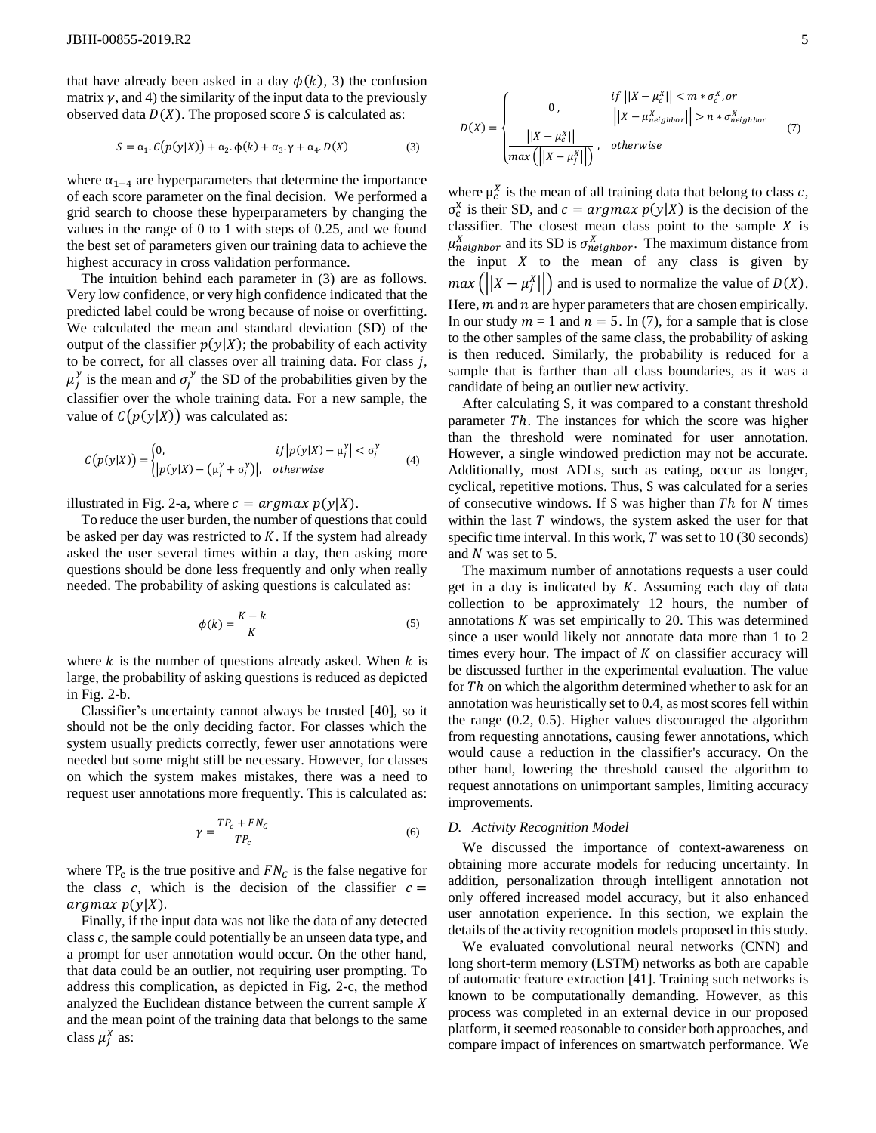that have already been asked in a day  $\phi(k)$ , 3) the confusion matrix  $\gamma$ , and 4) the similarity of the input data to the previously observed data  $D(X)$ . The proposed score S is calculated as:

$$
S = \alpha_1 \cdot C(p(y|X)) + \alpha_2 \cdot \phi(k) + \alpha_3 \cdot \gamma + \alpha_4 \cdot D(X) \tag{3}
$$

where  $\alpha_{1-4}$  are hyperparameters that determine the importance of each score parameter on the final decision. We performed a grid search to choose these hyperparameters by changing the values in the range of 0 to 1 with steps of 0.25, and we found the best set of parameters given our training data to achieve the highest accuracy in cross validation performance.

The intuition behind each parameter in (3) are as follows. Very low confidence, or very high confidence indicated that the predicted label could be wrong because of noise or overfitting. We calculated the mean and standard deviation (SD) of the output of the classifier  $p(y|X)$ ; the probability of each activity to be correct, for all classes over all training data. For class  $j$ ,  $\mu_j^y$  is the mean and  $\sigma_j^y$  the SD of the probabilities given by the classifier over the whole training data. For a new sample, the value of  $C(p(y|X))$  was calculated as:

$$
C(p(y|X)) = \begin{cases} 0, & if |p(y|X) - \mu_j^y| < \sigma_j^y \\ |p(y|X) - (\mu_j^y + \sigma_j^y)|, & otherwise \end{cases}
$$
(4)

illustrated i[n Fig. 2-](#page-3-0)a, where  $c = argmax p(y|X)$ .

To reduce the user burden, the number of questions that could be asked per day was restricted to  $K$ . If the system had already asked the user several times within a day, then asking more questions should be done less frequently and only when really needed. The probability of asking questions is calculated as:

$$
\phi(k) = \frac{K - k}{K} \tag{5}
$$

where  $k$  is the number of questions already asked. When  $k$  is large, the probability of asking questions is reduced as depicted in [Fig. 2-](#page-3-0)b.

Classifier's uncertainty cannot always be trusted [40], so it should not be the only deciding factor. For classes which the system usually predicts correctly, fewer user annotations were needed but some might still be necessary. However, for classes on which the system makes mistakes, there was a need to request user annotations more frequently. This is calculated as:

$$
\gamma = \frac{TP_c + FN_c}{TP_c} \tag{6}
$$

where  $TP_c$  is the true positive and  $FN_c$  is the false negative for the class  $c$ , which is the decision of the classifier  $c =$  $argmax p(y|X)$ .

Finally, if the input data was not like the data of any detected class  $c$ , the sample could potentially be an unseen data type, and a prompt for user annotation would occur. On the other hand, that data could be an outlier, not requiring user prompting. To address this complication, as depicted in [Fig. 2-](#page-3-0)c, the method analyzed the Euclidean distance between the current sample and the mean point of the training data that belongs to the same class  $\mu_j^X$  as:

$$
D(X) = \begin{cases} \n0, & \text{if } ||X - \mu_c^X|| < m * \sigma_c^X, \text{or} \\ \n0, & \text{if } ||X - \mu_c^X|| > n * \sigma_{neighbor}^X \\ \n\frac{||X - \mu_c^X||}{\max(\left||X - \mu_f^X||\right)}, & \text{otherwise} \n\end{cases} \tag{7}
$$

where  $\mu_c^X$  is the mean of all training data that belong to class c,  $\sigma_c^X$  is their SD, and  $c = argmax p(y|X)$  is the decision of the classifier. The closest mean class point to the sample  $X$  is  $\mu_{neighbor}^{X}$  and its SD is  $\sigma_{neighbor}^{X}$ . The maximum distance from the input  $X$  to the mean of any class is given by  $max(|X - \mu_j^X|)$  and is used to normalize the value of  $D(X)$ . Here,  $m$  and  $n$  are hyper parameters that are chosen empirically. In our study  $m = 1$  and  $n = 5$ . In (7), for a sample that is close to the other samples of the same class, the probability of asking is then reduced. Similarly, the probability is reduced for a sample that is farther than all class boundaries, as it was a candidate of being an outlier new activity.

After calculating S, it was compared to a constant threshold parameter Th. The instances for which the score was higher than the threshold were nominated for user annotation. However, a single windowed prediction may not be accurate. Additionally, most ADLs, such as eating, occur as longer, cyclical, repetitive motions. Thus, S was calculated for a series of consecutive windows. If S was higher than  $Th$  for  $N$  times within the last  $T$  windows, the system asked the user for that specific time interval. In this work,  $T$  was set to 10 (30 seconds) and  $N$  was set to 5.

The maximum number of annotations requests a user could get in a day is indicated by  $K$ . Assuming each day of data collection to be approximately 12 hours, the number of annotations  $K$  was set empirically to 20. This was determined since a user would likely not annotate data more than 1 to 2 times every hour. The impact of  $K$  on classifier accuracy will be discussed further in the experimental evaluation. The value for  $Th$  on which the algorithm determined whether to ask for an annotation was heuristically set to 0.4, as most scores fell within the range (0.2, 0.5). Higher values discouraged the algorithm from requesting annotations, causing fewer annotations, which would cause a reduction in the classifier's accuracy. On the other hand, lowering the threshold caused the algorithm to request annotations on unimportant samples, limiting accuracy improvements.

## *D. Activity Recognition Model*

We discussed the importance of context-awareness on obtaining more accurate models for reducing uncertainty. In addition, personalization through intelligent annotation not only offered increased model accuracy, but it also enhanced user annotation experience. In this section, we explain the details of the activity recognition models proposed in this study.

We evaluated convolutional neural networks (CNN) and long short-term memory (LSTM) networks as both are capable of automatic feature extraction [41]. Training such networks is known to be computationally demanding. However, as this process was completed in an external device in our proposed platform, it seemed reasonable to consider both approaches, and compare impact of inferences on smartwatch performance. We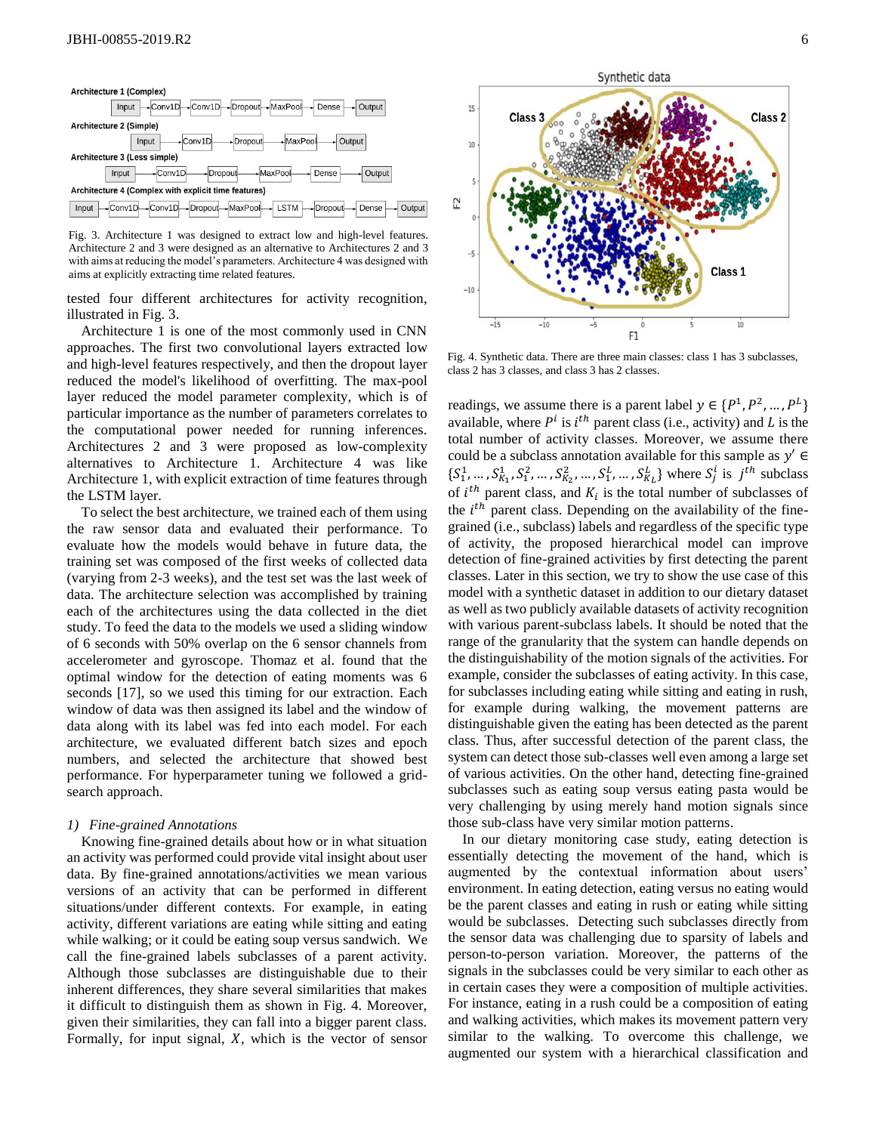

<span id="page-5-0"></span>Fig. 3. Architecture 1 was designed to extract low and high-level features. Architecture 2 and 3 were designed as an alternative to Architectures 2 and 3 with aims at reducing the model's parameters. Architecture 4 was designed with aims at explicitly extracting time related features.

tested four different architectures for activity recognition, illustrated in [Fig. 3](#page-5-0).

Architecture 1 is one of the most commonly used in CNN approaches. The first two convolutional layers extracted low and high-level features respectively, and then the dropout layer reduced the model's likelihood of overfitting. The max-pool layer reduced the model parameter complexity, which is of particular importance as the number of parameters correlates to the computational power needed for running inferences. Architectures 2 and 3 were proposed as low-complexity alternatives to Architecture 1. Architecture 4 was like Architecture 1, with explicit extraction of time features through the LSTM layer.

To select the best architecture, we trained each of them using the raw sensor data and evaluated their performance. To evaluate how the models would behave in future data, the training set was composed of the first weeks of collected data (varying from 2-3 weeks), and the test set was the last week of data. The architecture selection was accomplished by training each of the architectures using the data collected in the diet study. To feed the data to the models we used a sliding window of 6 seconds with 50% overlap on the 6 sensor channels from accelerometer and gyroscope. Thomaz et al. found that the optimal window for the detection of eating moments was 6 seconds [17], so we used this timing for our extraction. Each window of data was then assigned its label and the window of data along with its label was fed into each model. For each architecture, we evaluated different batch sizes and epoch numbers, and selected the architecture that showed best performance. For hyperparameter tuning we followed a gridsearch approach.

## *1) Fine-grained Annotations*

Knowing fine-grained details about how or in what situation an activity was performed could provide vital insight about user data. By fine-grained annotations/activities we mean various versions of an activity that can be performed in different situations/under different contexts. For example, in eating activity, different variations are eating while sitting and eating while walking; or it could be eating soup versus sandwich. We call the fine-grained labels subclasses of a parent activity. Although those subclasses are distinguishable due to their inherent differences, they share several similarities that makes it difficult to distinguish them as shown in Fig. 4. Moreover, given their similarities, they can fall into a bigger parent class. Formally, for input signal,  $X$ , which is the vector of sensor



<span id="page-5-1"></span>Fig. 4. Synthetic data. There are three main classes: class 1 has 3 subclasses, class 2 has 3 classes, and class 3 has 2 classes.

readings, we assume there is a parent label  $y \in \{P^1, P^2, ..., P^L\}$ available, where  $P^i$  is  $i^{th}$  parent class (i.e., activity) and L is the total number of activity classes. Moreover, we assume there could be a subclass annotation available for this sample as  $y' \in$  $\{S_1^1, \ldots, S_{K_1}^1, S_1^2, \ldots, S_{K_2}^2, \ldots, S_1^L, \ldots, S_{K_L}^L\}$  where  $S_j^i$  is  $j^{th}$  subclass of  $i^{th}$  parent class, and  $K_i$  is the total number of subclasses of the  $i<sup>th</sup>$  parent class. Depending on the availability of the finegrained (i.e., subclass) labels and regardless of the specific type of activity, the proposed hierarchical model can improve detection of fine-grained activities by first detecting the parent classes. Later in this section, we try to show the use case of this model with a synthetic dataset in addition to our dietary dataset as well as two publicly available datasets of activity recognition with various parent-subclass labels. It should be noted that the range of the granularity that the system can handle depends on the distinguishability of the motion signals of the activities. For example, consider the subclasses of eating activity. In this case, for subclasses including eating while sitting and eating in rush, for example during walking, the movement patterns are distinguishable given the eating has been detected as the parent class. Thus, after successful detection of the parent class, the system can detect those sub-classes well even among a large set of various activities. On the other hand, detecting fine-grained subclasses such as eating soup versus eating pasta would be very challenging by using merely hand motion signals since those sub-class have very similar motion patterns.

In our dietary monitoring case study, eating detection is essentially detecting the movement of the hand, which is augmented by the contextual information about users' environment. In eating detection, eating versus no eating would be the parent classes and eating in rush or eating while sitting would be subclasses. Detecting such subclasses directly from the sensor data was challenging due to sparsity of labels and person-to-person variation. Moreover, the patterns of the signals in the subclasses could be very similar to each other as in certain cases they were a composition of multiple activities. For instance, eating in a rush could be a composition of eating and walking activities, which makes its movement pattern very similar to the walking. To overcome this challenge, we augmented our system with a hierarchical classification and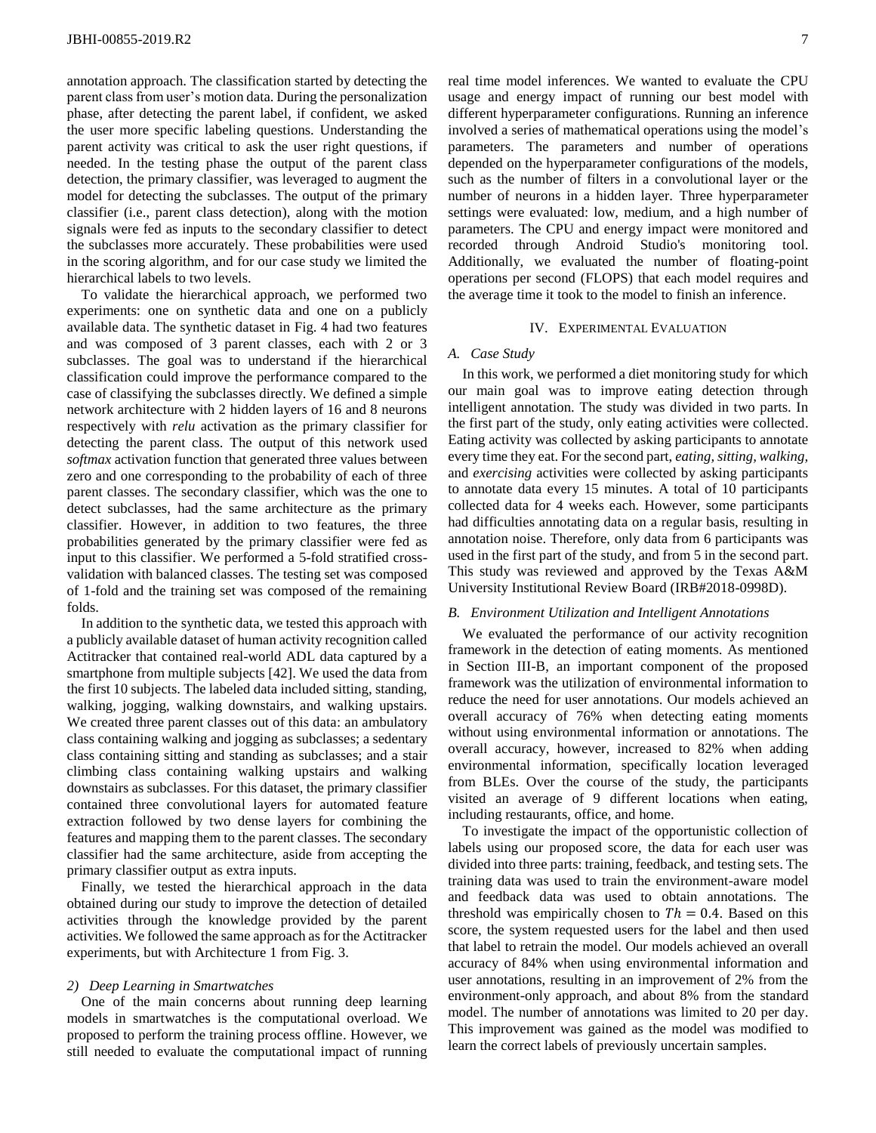annotation approach. The classification started by detecting the parent class from user's motion data. During the personalization phase, after detecting the parent label, if confident, we asked the user more specific labeling questions. Understanding the parent activity was critical to ask the user right questions, if needed. In the testing phase the output of the parent class detection, the primary classifier, was leveraged to augment the model for detecting the subclasses. The output of the primary classifier (i.e., parent class detection), along with the motion signals were fed as inputs to the secondary classifier to detect the subclasses more accurately. These probabilities were used in the scoring algorithm, and for our case study we limited the hierarchical labels to two levels.

To validate the hierarchical approach, we performed two experiments: one on synthetic data and one on a publicly available data. The synthetic dataset in [Fig. 4](#page-5-1) had two features and was composed of 3 parent classes, each with 2 or 3 subclasses. The goal was to understand if the hierarchical classification could improve the performance compared to the case of classifying the subclasses directly. We defined a simple network architecture with 2 hidden layers of 16 and 8 neurons respectively with *relu* activation as the primary classifier for detecting the parent class. The output of this network used *softmax* activation function that generated three values between zero and one corresponding to the probability of each of three parent classes. The secondary classifier, which was the one to detect subclasses, had the same architecture as the primary classifier. However, in addition to two features, the three probabilities generated by the primary classifier were fed as input to this classifier. We performed a 5-fold stratified crossvalidation with balanced classes. The testing set was composed of 1-fold and the training set was composed of the remaining folds.

In addition to the synthetic data, we tested this approach with a publicly available dataset of human activity recognition called Actitracker that contained real-world ADL data captured by a smartphone from multiple subjects [42]. We used the data from the first 10 subjects. The labeled data included sitting, standing, walking, jogging, walking downstairs, and walking upstairs. We created three parent classes out of this data: an ambulatory class containing walking and jogging as subclasses; a sedentary class containing sitting and standing as subclasses; and a stair climbing class containing walking upstairs and walking downstairs as subclasses. For this dataset, the primary classifier contained three convolutional layers for automated feature extraction followed by two dense layers for combining the features and mapping them to the parent classes. The secondary classifier had the same architecture, aside from accepting the primary classifier output as extra inputs.

Finally, we tested the hierarchical approach in the data obtained during our study to improve the detection of detailed activities through the knowledge provided by the parent activities. We followed the same approach as for the Actitracker experiments, but with Architecture 1 from [Fig. 3](#page-5-0).

#### *2) Deep Learning in Smartwatches*

One of the main concerns about running deep learning models in smartwatches is the computational overload. We proposed to perform the training process offline. However, we still needed to evaluate the computational impact of running

real time model inferences. We wanted to evaluate the CPU usage and energy impact of running our best model with different hyperparameter configurations. Running an inference involved a series of mathematical operations using the model's parameters. The parameters and number of operations depended on the hyperparameter configurations of the models, such as the number of filters in a convolutional layer or the number of neurons in a hidden layer. Three hyperparameter settings were evaluated: low, medium, and a high number of parameters. The CPU and energy impact were monitored and recorded through Android Studio's monitoring tool. Additionally, we evaluated the number of floating-point operations per second (FLOPS) that each model requires and the average time it took to the model to finish an inference.

### IV. EXPERIMENTAL EVALUATION

## *A. Case Study*

In this work, we performed a diet monitoring study for which our main goal was to improve eating detection through intelligent annotation. The study was divided in two parts. In the first part of the study, only eating activities were collected. Eating activity was collected by asking participants to annotate every time they eat. For the second part, *eating, sitting, walking,*  and *exercising* activities were collected by asking participants to annotate data every 15 minutes. A total of 10 participants collected data for 4 weeks each. However, some participants had difficulties annotating data on a regular basis, resulting in annotation noise. Therefore, only data from 6 participants was used in the first part of the study, and from 5 in the second part. This study was reviewed and approved by the Texas A&M University Institutional Review Board (IRB#2018-0998D).

## *B. Environment Utilization and Intelligent Annotations*

We evaluated the performance of our activity recognition framework in the detection of eating moments. As mentioned in Section III-B, an important component of the proposed framework was the utilization of environmental information to reduce the need for user annotations. Our models achieved an overall accuracy of 76% when detecting eating moments without using environmental information or annotations. The overall accuracy, however, increased to 82% when adding environmental information, specifically location leveraged from BLEs. Over the course of the study, the participants visited an average of 9 different locations when eating, including restaurants, office, and home.

To investigate the impact of the opportunistic collection of labels using our proposed score, the data for each user was divided into three parts: training, feedback, and testing sets. The training data was used to train the environment-aware model and feedback data was used to obtain annotations. The threshold was empirically chosen to  $Th = 0.4$ . Based on this score, the system requested users for the label and then used that label to retrain the model. Our models achieved an overall accuracy of 84% when using environmental information and user annotations, resulting in an improvement of 2% from the environment-only approach, and about 8% from the standard model. The number of annotations was limited to 20 per day. This improvement was gained as the model was modified to learn the correct labels of previously uncertain samples.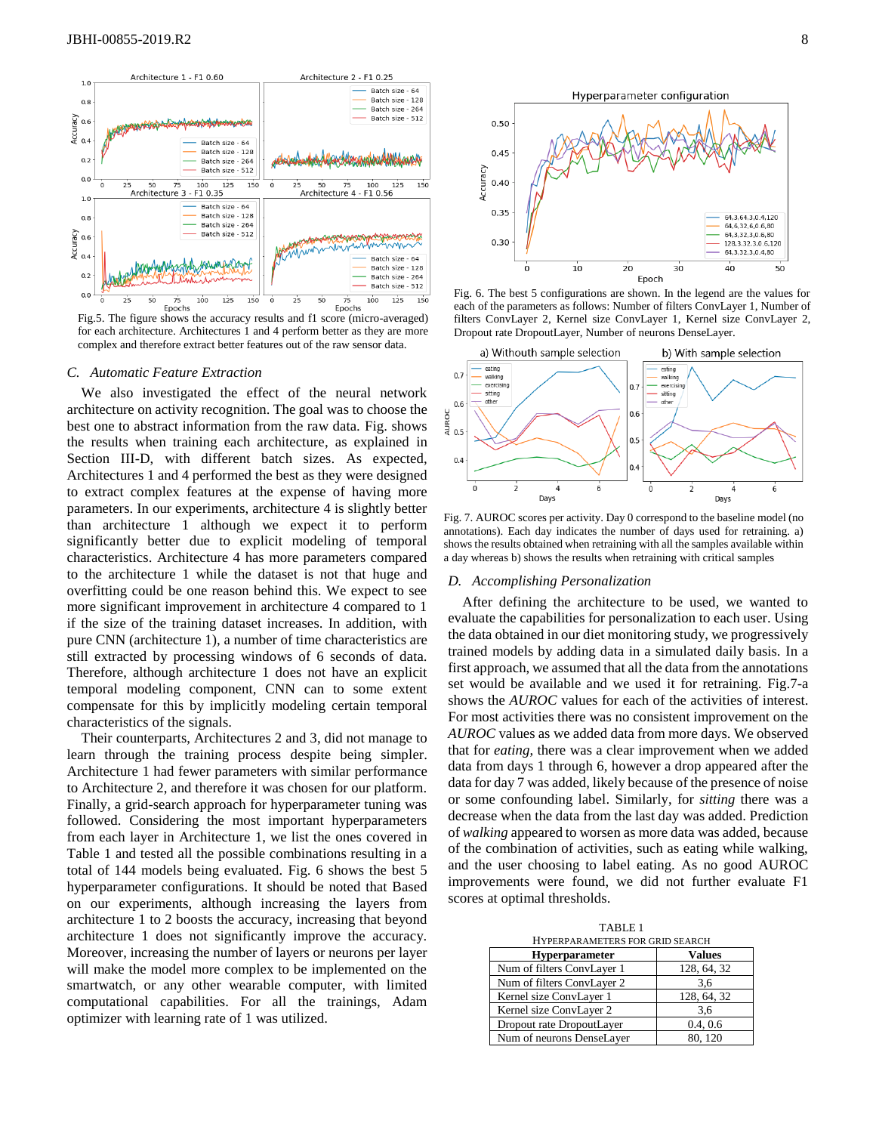

<span id="page-7-0"></span>Fig.5. The figure shows the accuracy results and f1 score (micro-averaged) for each architecture. Architectures 1 and 4 perform better as they are more complex and therefore extract better features out of the raw sensor data.

#### *C. Automatic Feature Extraction*

We also investigated the effect of the neural network architecture on activity recognition. The goal was to choose the best one to abstract information from the raw data. [Fig.](#page-7-0) shows the results when training each architecture, as explained in Section III-D, with different batch sizes. As expected, Architectures 1 and 4 performed the best as they were designed to extract complex features at the expense of having more parameters. In our experiments, architecture 4 is slightly better than architecture 1 although we expect it to perform significantly better due to explicit modeling of temporal characteristics. Architecture 4 has more parameters compared to the architecture 1 while the dataset is not that huge and overfitting could be one reason behind this. We expect to see more significant improvement in architecture 4 compared to 1 if the size of the training dataset increases. In addition, with pure CNN (architecture 1), a number of time characteristics are still extracted by processing windows of 6 seconds of data. Therefore, although architecture 1 does not have an explicit temporal modeling component, CNN can to some extent compensate for this by implicitly modeling certain temporal characteristics of the signals.

Their counterparts, Architectures 2 and 3, did not manage to learn through the training process despite being simpler. Architecture 1 had fewer parameters with similar performance to Architecture 2, and therefore it was chosen for our platform. Finally, a grid-search approach for hyperparameter tuning was followed. Considering the most important hyperparameters from each layer in Architecture 1, we list the ones covered in Table 1 and tested all the possible combinations resulting in a total of 144 models being evaluated. Fig. 6 shows the best 5 hyperparameter configurations. It should be noted that Based on our experiments, although increasing the layers from architecture 1 to 2 boosts the accuracy, increasing that beyond architecture 1 does not significantly improve the accuracy. Moreover, increasing the number of layers or neurons per layer will make the model more complex to be implemented on the smartwatch, or any other wearable computer, with limited computational capabilities. For all the trainings, Adam optimizer with learning rate of 1 was utilized.



Fig. 6. The best 5 configurations are shown. In the legend are the values for each of the parameters as follows: Number of filters ConvLayer 1, Number of filters ConvLayer 2, Kernel size ConvLayer 1, Kernel size ConvLayer 2, Dropout rate DropoutLayer, Number of neurons DenseLayer.



Fig. 7. AUROC scores per activity. Day 0 correspond to the baseline model (no annotations). Each day indicates the number of days used for retraining. a) shows the results obtained when retraining with all the samples available within a day whereas b) shows the results when retraining with critical samples

## *D. Accomplishing Personalization*

After defining the architecture to be used, we wanted to evaluate the capabilities for personalization to each user. Using the data obtained in our diet monitoring study, we progressively trained models by adding data in a simulated daily basis. In a first approach, we assumed that all the data from the annotations set would be available and we used it for retraining. Fig.7-a shows the *AUROC* values for each of the activities of interest. For most activities there was no consistent improvement on the *AUROC* values as we added data from more days. We observed that for *eating*, there was a clear improvement when we added data from days 1 through 6, however a drop appeared after the data for day 7 was added, likely because of the presence of noise or some confounding label. Similarly, for *sitting* there was a decrease when the data from the last day was added. Prediction of *walking* appeared to worsen as more data was added, because of the combination of activities, such as eating while walking, and the user choosing to label eating. As no good AUROC improvements were found, we did not further evaluate F1 scores at optimal thresholds.

TABLE 1

| HYPERPARAMETERS FOR GRID SEARCH |               |
|---------------------------------|---------------|
| Hyperparameter                  | <b>Values</b> |
| Num of filters ConvLayer 1      | 128, 64, 32   |
| Num of filters ConvLayer 2      | 3,6           |
| Kernel size ConvLayer 1         | 128, 64, 32   |
| Kernel size ConvLayer 2         | 3.6           |
| Dropout rate DropoutLayer       | 0.4, 0.6      |
| Num of neurons DenseLayer       | 80.120        |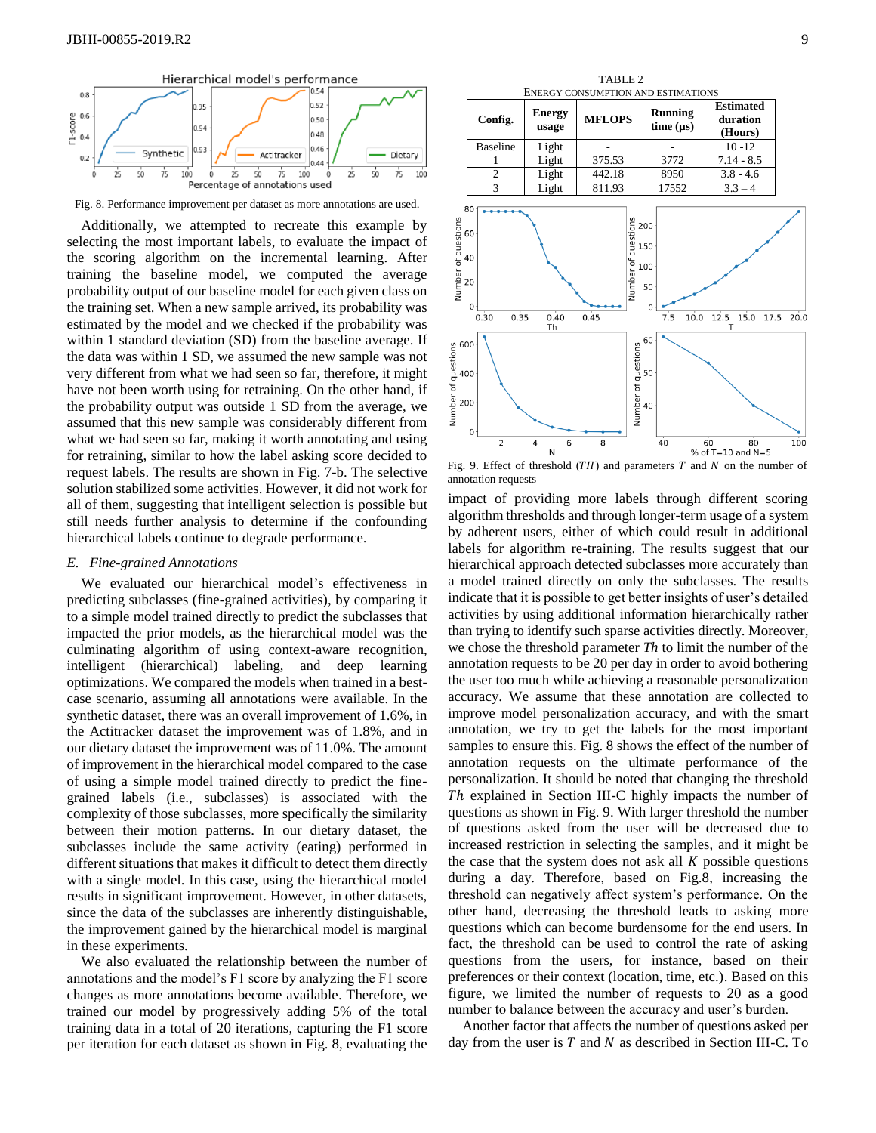

Fig. 8. Performance improvement per dataset as more annotations are used.

Additionally, we attempted to recreate this example by selecting the most important labels, to evaluate the impact of the scoring algorithm on the incremental learning. After training the baseline model, we computed the average probability output of our baseline model for each given class on the training set. When a new sample arrived, its probability was estimated by the model and we checked if the probability was within 1 standard deviation (SD) from the baseline average. If the data was within 1 SD, we assumed the new sample was not very different from what we had seen so far, therefore, it might have not been worth using for retraining. On the other hand, if the probability output was outside 1 SD from the average, we assumed that this new sample was considerably different from what we had seen so far, making it worth annotating and using for retraining, similar to how the label asking score decided to request labels. The results are shown in Fig. 7-b. The selective solution stabilized some activities. However, it did not work for all of them, suggesting that intelligent selection is possible but still needs further analysis to determine if the confounding hierarchical labels continue to degrade performance.

## *E. Fine-grained Annotations*

We evaluated our hierarchical model's effectiveness in predicting subclasses (fine-grained activities), by comparing it to a simple model trained directly to predict the subclasses that impacted the prior models, as the hierarchical model was the culminating algorithm of using context-aware recognition, intelligent (hierarchical) labeling, and deep learning optimizations. We compared the models when trained in a bestcase scenario, assuming all annotations were available. In the synthetic dataset, there was an overall improvement of 1.6%, in the Actitracker dataset the improvement was of 1.8%, and in our dietary dataset the improvement was of 11.0%. The amount of improvement in the hierarchical model compared to the case of using a simple model trained directly to predict the finegrained labels (i.e., subclasses) is associated with the complexity of those subclasses, more specifically the similarity between their motion patterns. In our dietary dataset, the subclasses include the same activity (eating) performed in different situations that makes it difficult to detect them directly with a single model. In this case, using the hierarchical model results in significant improvement. However, in other datasets, since the data of the subclasses are inherently distinguishable, the improvement gained by the hierarchical model is marginal in these experiments.

We also evaluated the relationship between the number of annotations and the model's F1 score by analyzing the F1 score changes as more annotations become available. Therefore, we trained our model by progressively adding 5% of the total training data in a total of 20 iterations, capturing the F1 score per iteration for each dataset as shown in Fig. 8, evaluating the



Fig. 9. Effect of threshold  $(TH)$  and parameters  $T$  and  $N$  on the number of annotation requests

impact of providing more labels through different scoring algorithm thresholds and through longer-term usage of a system by adherent users, either of which could result in additional labels for algorithm re-training. The results suggest that our hierarchical approach detected subclasses more accurately than a model trained directly on only the subclasses. The results indicate that it is possible to get better insights of user's detailed activities by using additional information hierarchically rather than trying to identify such sparse activities directly. Moreover, we chose the threshold parameter *Th* to limit the number of the annotation requests to be 20 per day in order to avoid bothering the user too much while achieving a reasonable personalization accuracy. We assume that these annotation are collected to improve model personalization accuracy, and with the smart annotation, we try to get the labels for the most important samples to ensure this. Fig. 8 shows the effect of the number of annotation requests on the ultimate performance of the personalization. It should be noted that changing the threshold ℎ explained in Section III-C highly impacts the number of questions as shown in Fig. 9. With larger threshold the number of questions asked from the user will be decreased due to increased restriction in selecting the samples, and it might be the case that the system does not ask all  $K$  possible questions during a day. Therefore, based on Fig.8, increasing the threshold can negatively affect system's performance. On the other hand, decreasing the threshold leads to asking more questions which can become burdensome for the end users. In fact, the threshold can be used to control the rate of asking questions from the users, for instance, based on their preferences or their context (location, time, etc.). Based on this figure, we limited the number of requests to 20 as a good number to balance between the accuracy and user's burden.

Another factor that affects the number of questions asked per day from the user is  $T$  and  $N$  as described in Section III-C. To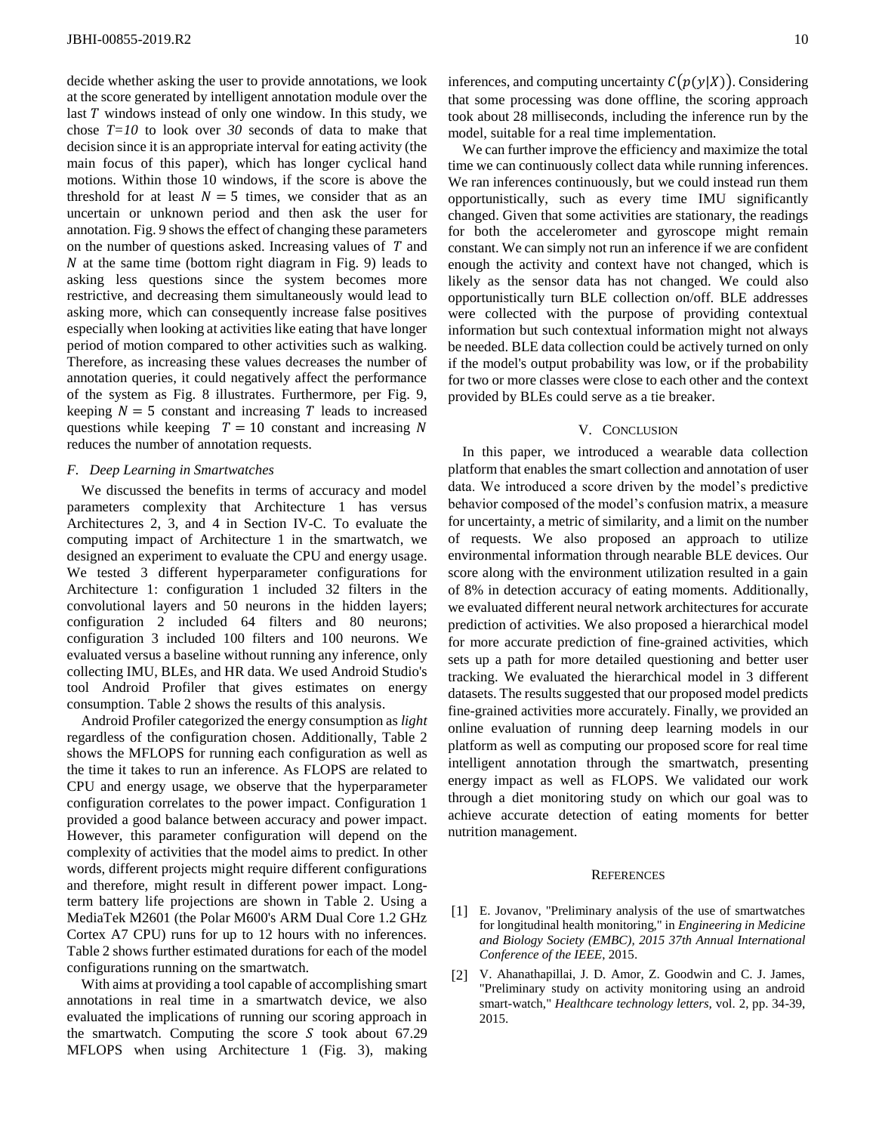decide whether asking the user to provide annotations, we look at the score generated by intelligent annotation module over the last  $T$  windows instead of only one window. In this study, we chose *T=10* to look over *30* seconds of data to make that decision since it is an appropriate interval for eating activity (the main focus of this paper), which has longer cyclical hand motions. Within those 10 windows, if the score is above the threshold for at least  $N = 5$  times, we consider that as an uncertain or unknown period and then ask the user for annotation. Fig. 9 shows the effect of changing these parameters on the number of questions asked. Increasing values of  $T$  and  $N$  at the same time (bottom right diagram in Fig. 9) leads to asking less questions since the system becomes more restrictive, and decreasing them simultaneously would lead to asking more, which can consequently increase false positives especially when looking at activities like eating that have longer period of motion compared to other activities such as walking. Therefore, as increasing these values decreases the number of annotation queries, it could negatively affect the performance of the system as Fig. 8 illustrates. Furthermore, per Fig. 9, keeping  $N = 5$  constant and increasing T leads to increased questions while keeping  $T = 10$  constant and increasing N reduces the number of annotation requests.

## *F. Deep Learning in Smartwatches*

We discussed the benefits in terms of accuracy and model parameters complexity that Architecture 1 has versus Architectures 2, 3, and 4 in Section IV-C. To evaluate the computing impact of Architecture 1 in the smartwatch, we designed an experiment to evaluate the CPU and energy usage. We tested 3 different hyperparameter configurations for Architecture 1: configuration 1 included 32 filters in the convolutional layers and 50 neurons in the hidden layers; configuration 2 included 64 filters and 80 neurons; configuration 3 included 100 filters and 100 neurons. We evaluated versus a baseline without running any inference, only collecting IMU, BLEs, and HR data. We used Android Studio's tool Android Profiler that gives estimates on energy consumption. Table 2 shows the results of this analysis.

Android Profiler categorized the energy consumption as *light* regardless of the configuration chosen. Additionally, Table 2 shows the MFLOPS for running each configuration as well as the time it takes to run an inference. As FLOPS are related to CPU and energy usage, we observe that the hyperparameter configuration correlates to the power impact. Configuration 1 provided a good balance between accuracy and power impact. However, this parameter configuration will depend on the complexity of activities that the model aims to predict. In other words, different projects might require different configurations and therefore, might result in different power impact. Longterm battery life projections are shown in Table 2. Using a MediaTek M2601 (the Polar M600's ARM Dual Core 1.2 GHz Cortex A7 CPU) runs for up to 12 hours with no inferences. Table 2 shows further estimated durations for each of the model configurations running on the smartwatch.

With aims at providing a tool capable of accomplishing smart annotations in real time in a smartwatch device, we also evaluated the implications of running our scoring approach in the smartwatch. Computing the score  $S$  took about 67.29 MFLOPS when using Architecture 1 (Fig. 3), making

inferences, and computing uncertainty  $C(p(y|X))$ . Considering that some processing was done offline, the scoring approach took about 28 milliseconds, including the inference run by the model, suitable for a real time implementation.

We can further improve the efficiency and maximize the total time we can continuously collect data while running inferences. We ran inferences continuously, but we could instead run them opportunistically, such as every time IMU significantly changed. Given that some activities are stationary, the readings for both the accelerometer and gyroscope might remain constant. We can simply not run an inference if we are confident enough the activity and context have not changed, which is likely as the sensor data has not changed. We could also opportunistically turn BLE collection on/off. BLE addresses were collected with the purpose of providing contextual information but such contextual information might not always be needed. BLE data collection could be actively turned on only if the model's output probability was low, or if the probability for two or more classes were close to each other and the context provided by BLEs could serve as a tie breaker.

#### V. CONCLUSION

In this paper, we introduced a wearable data collection platform that enables the smart collection and annotation of user data. We introduced a score driven by the model's predictive behavior composed of the model's confusion matrix, a measure for uncertainty, a metric of similarity, and a limit on the number of requests. We also proposed an approach to utilize environmental information through nearable BLE devices. Our score along with the environment utilization resulted in a gain of 8% in detection accuracy of eating moments. Additionally, we evaluated different neural network architectures for accurate prediction of activities. We also proposed a hierarchical model for more accurate prediction of fine-grained activities, which sets up a path for more detailed questioning and better user tracking. We evaluated the hierarchical model in 3 different datasets. The results suggested that our proposed model predicts fine-grained activities more accurately. Finally, we provided an online evaluation of running deep learning models in our platform as well as computing our proposed score for real time intelligent annotation through the smartwatch, presenting energy impact as well as FLOPS. We validated our work through a diet monitoring study on which our goal was to achieve accurate detection of eating moments for better nutrition management.

#### **REFERENCES**

- [1] E. Jovanov, "Preliminary analysis of the use of smartwatches for longitudinal health monitoring," in *Engineering in Medicine and Biology Society (EMBC), 2015 37th Annual International Conference of the IEEE*, 2015.
- [2] V. Ahanathapillai, J. D. Amor, Z. Goodwin and C. J. James, "Preliminary study on activity monitoring using an android smart-watch," *Healthcare technology letters,* vol. 2, pp. 34-39, 2015.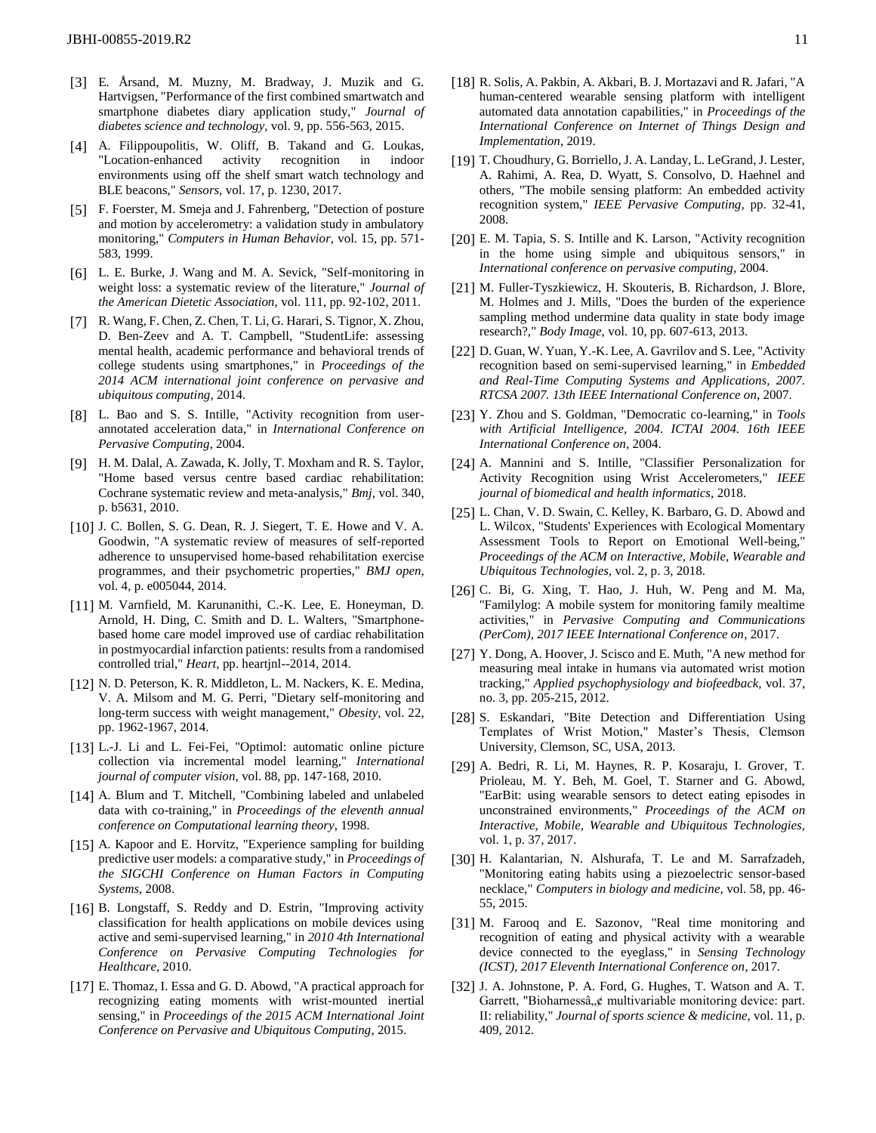- [3] E. Årsand, M. Muzny, M. Bradway, J. Muzik and G. Hartvigsen, "Performance of the first combined smartwatch and smartphone diabetes diary application study," *Journal of diabetes science and technology,* vol. 9, pp. 556-563, 2015.
- [4] A. Filippoupolitis, W. Oliff, B. Takand and G. Loukas, "Location-enhanced activity recognition in indoor environments using off the shelf smart watch technology and BLE beacons," *Sensors,* vol. 17, p. 1230, 2017.
- [5] F. Foerster, M. Smeja and J. Fahrenberg, "Detection of posture and motion by accelerometry: a validation study in ambulatory monitoring," *Computers in Human Behavior,* vol. 15, pp. 571- 583, 1999.
- [6] L. E. Burke, J. Wang and M. A. Sevick, "Self-monitoring in weight loss: a systematic review of the literature," *Journal of the American Dietetic Association,* vol. 111, pp. 92-102, 2011.
- [7] R. Wang, F. Chen, Z. Chen, T. Li, G. Harari, S. Tignor, X. Zhou, D. Ben-Zeev and A. T. Campbell, "StudentLife: assessing mental health, academic performance and behavioral trends of college students using smartphones," in *Proceedings of the 2014 ACM international joint conference on pervasive and ubiquitous computing*, 2014.
- [8] L. Bao and S. S. Intille, "Activity recognition from userannotated acceleration data," in *International Conference on Pervasive Computing*, 2004.
- [9] H. M. Dalal, A. Zawada, K. Jolly, T. Moxham and R. S. Taylor, "Home based versus centre based cardiac rehabilitation: Cochrane systematic review and meta-analysis," *Bmj,* vol. 340, p. b5631, 2010.
- [10] J. C. Bollen, S. G. Dean, R. J. Siegert, T. E. Howe and V. A. Goodwin, "A systematic review of measures of self-reported adherence to unsupervised home-based rehabilitation exercise programmes, and their psychometric properties," *BMJ open,*  vol. 4, p. e005044, 2014.
- [11] M. Varnfield, M. Karunanithi, C.-K. Lee, E. Honeyman, D. Arnold, H. Ding, C. Smith and D. L. Walters, "Smartphonebased home care model improved use of cardiac rehabilitation in postmyocardial infarction patients: results from a randomised controlled trial," *Heart,* pp. heartjnl--2014, 2014.
- [12] N. D. Peterson, K. R. Middleton, L. M. Nackers, K. E. Medina, V. A. Milsom and M. G. Perri, "Dietary self-monitoring and long-term success with weight management," *Obesity,* vol. 22, pp. 1962-1967, 2014.
- [13] L.-J. Li and L. Fei-Fei, "Optimol: automatic online picture collection via incremental model learning," *International journal of computer vision,* vol. 88, pp. 147-168, 2010.
- [14] A. Blum and T. Mitchell, "Combining labeled and unlabeled data with co-training," in *Proceedings of the eleventh annual conference on Computational learning theory*, 1998.
- [15] A. Kapoor and E. Horvitz, "Experience sampling for building predictive user models: a comparative study," in *Proceedings of the SIGCHI Conference on Human Factors in Computing Systems*, 2008.
- [16] B. Longstaff, S. Reddy and D. Estrin, "Improving activity classification for health applications on mobile devices using active and semi-supervised learning," in *2010 4th International Conference on Pervasive Computing Technologies for Healthcare*, 2010.
- [17] E. Thomaz, I. Essa and G. D. Abowd, "A practical approach for recognizing eating moments with wrist-mounted inertial sensing," in *Proceedings of the 2015 ACM International Joint Conference on Pervasive and Ubiquitous Computing*, 2015.
- [18] R. Solis, A. Pakbin, A. Akbari, B. J. Mortazavi and R. Jafari, "A human-centered wearable sensing platform with intelligent automated data annotation capabilities," in *Proceedings of the International Conference on Internet of Things Design and Implementation*, 2019.
- [19] T. Choudhury, G. Borriello, J. A. Landay, L. LeGrand, J. Lester, A. Rahimi, A. Rea, D. Wyatt, S. Consolvo, D. Haehnel and others, "The mobile sensing platform: An embedded activity recognition system," *IEEE Pervasive Computing,* pp. 32-41, 2008.
- [20] E. M. Tapia, S. S. Intille and K. Larson, "Activity recognition in the home using simple and ubiquitous sensors," in *International conference on pervasive computing*, 2004.
- [21] M. Fuller-Tyszkiewicz, H. Skouteris, B. Richardson, J. Blore, M. Holmes and J. Mills, "Does the burden of the experience sampling method undermine data quality in state body image research?," *Body Image,* vol. 10, pp. 607-613, 2013.
- [22] D. Guan, W. Yuan, Y.-K. Lee, A. Gavrilov and S. Lee, "Activity recognition based on semi-supervised learning," in *Embedded and Real-Time Computing Systems and Applications, 2007. RTCSA 2007. 13th IEEE International Conference on*, 2007.
- [23] Y. Zhou and S. Goldman, "Democratic co-learning," in *Tools with Artificial Intelligence, 2004. ICTAI 2004. 16th IEEE International Conference on*, 2004.
- [24] A. Mannini and S. Intille, "Classifier Personalization for Activity Recognition using Wrist Accelerometers," *IEEE journal of biomedical and health informatics,* 2018.
- [25] L. Chan, V. D. Swain, C. Kelley, K. Barbaro, G. D. Abowd and L. Wilcox, "Students' Experiences with Ecological Momentary Assessment Tools to Report on Emotional Well-being," *Proceedings of the ACM on Interactive, Mobile, Wearable and Ubiquitous Technologies,* vol. 2, p. 3, 2018.
- [26] C. Bi, G. Xing, T. Hao, J. Huh, W. Peng and M. Ma, "Familylog: A mobile system for monitoring family mealtime activities," in *Pervasive Computing and Communications (PerCom), 2017 IEEE International Conference on*, 2017.
- [27] Y. Dong, A. Hoover, J. Scisco and E. Muth, "A new method for measuring meal intake in humans via automated wrist motion tracking," *Applied psychophysiology and biofeedback,* vol. 37, no. 3, pp. 205-215, 2012.
- [28] S. Eskandari, "Bite Detection and Differentiation Using Templates of Wrist Motion," Master's Thesis, Clemson University, Clemson, SC, USA, 2013.
- [29] A. Bedri, R. Li, M. Haynes, R. P. Kosaraju, I. Grover, T. Prioleau, M. Y. Beh, M. Goel, T. Starner and G. Abowd, "EarBit: using wearable sensors to detect eating episodes in unconstrained environments," *Proceedings of the ACM on Interactive, Mobile, Wearable and Ubiquitous Technologies,*  vol. 1, p. 37, 2017.
- [30] H. Kalantarian, N. Alshurafa, T. Le and M. Sarrafzadeh, "Monitoring eating habits using a piezoelectric sensor-based necklace," *Computers in biology and medicine,* vol. 58, pp. 46- 55, 2015.
- [31] M. Farooq and E. Sazonov, "Real time monitoring and recognition of eating and physical activity with a wearable device connected to the eyeglass," in *Sensing Technology (ICST), 2017 Eleventh International Conference on*, 2017.
- [32] J. A. Johnstone, P. A. Ford, G. Hughes, T. Watson and A. T. Garrett, "Bioharnessâ,  $\phi$  multivariable monitoring device: part. II: reliability," *Journal of sports science & medicine,* vol. 11, p. 409, 2012.